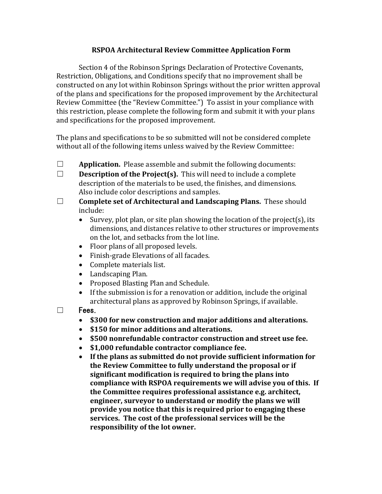## **RSPOA Architectural Review Committee Application Form**

Section 4 of the Robinson Springs Declaration of Protective Covenants, Restriction, Obligations, and Conditions specify that no improvement shall be constructed on any lot within Robinson Springs without the prior written approval of the plans and specifications for the proposed improvement by the Architectural Review Committee (the "Review Committee.") To assist in your compliance with this restriction, please complete the following form and submit it with your plans and specifications for the proposed improvement.

The plans and specifications to be so submitted will not be considered complete without all of the following items unless waived by the Review Committee:

- $\Box$  **Application.** Please assemble and submit the following documents:
- $\Box$  **Description of the Project(s).** This will need to include a complete description of the materials to be used, the finishes, and dimensions. Also include color descriptions and samples.
- □ **Complete set of Architectural and Landscaping Plans.** These should include:
	- Survey, plot plan, or site plan showing the location of the project(s), its dimensions, and distances relative to other structures or improvements on the lot, and setbacks from the lot line.
	- Floor plans of all proposed levels.
	- Finish-grade Elevations of all facades.
	- Complete materials list.
	- Landscaping Plan.
	- Proposed Blasting Plan and Schedule.
	- If the submission is for a renovation or addition, include the original architectural plans as approved by Robinson Springs, if available.
- $\square$  Fees.
	- \$300 for new construction and major additions and alterations.
	- **\$150** for minor additions and alterations.
	- \$500 nonrefundable contractor construction and street use fee.
	- \$1,000 refundable contractor compliance fee.
	- If the plans as submitted do not provide sufficient information for the Review Committee to fully understand the proposal or if significant modification is required to bring the plans into compliance with RSPOA requirements we will advise you of this. If the Committee requires professional assistance e.g. architect, engineer, surveyor to understand or modify the plans we will **provide you notice that this is required prior to engaging these** services. The cost of the professional services will be the **responsibility of the lot owner.**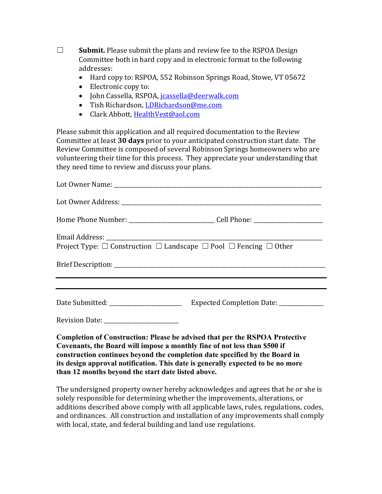$\Box$  **Submit.** Please submit the plans and review fee to the RSPOA Design Committee both in hard copy and in electronic format to the following addresses:

- Hard copy to: RSPOA, 552 Robinson Springs Road, Stowe, VT 05672
- Electronic copy to:
- · John Cassella, RSPOA, jcassella@deerwalk.com
- Tish Richardson, LDRichardson@me.com
- Clark Abbott, HealthVest@aol.com

Please submit this application and all required documentation to the Review Committee at least 30 days prior to your anticipated construction start date. The Review Committee is composed of several Robinson Springs homeowners who are volunteering their time for this process. They appreciate your understanding that they need time to review and discuss your plans.

|                                                                                                                                                                 | Home Phone Number: ________________________________Cell Phone: __________________ |
|-----------------------------------------------------------------------------------------------------------------------------------------------------------------|-----------------------------------------------------------------------------------|
| Project Type: $\Box$ Construction $\Box$ Landscape $\Box$ Pool $\Box$ Fencing $\Box$ Other                                                                      |                                                                                   |
|                                                                                                                                                                 | ,我们也不会有什么。""我们的人,我们也不会有什么?""我们的人,我们也不会有什么?""我们的人,我们也不会有什么?""我们的人,我们也不会有什么?""我们的人  |
|                                                                                                                                                                 |                                                                                   |
|                                                                                                                                                                 |                                                                                   |
| Revision Date: _________________________                                                                                                                        |                                                                                   |
| <b>Completion of Construction: Please be advised that per the RSPOA Protective</b><br>Covenants, the Board will impose a monthly fine of not less than \$500 if |                                                                                   |

**construction continues beyond the completion date specified by the Board in its design approval notification. This date is generally expected to be no more than 12 months beyond the start date listed above.**

The undersigned property owner hereby acknowledges and agrees that he or she is solely responsible for determining whether the improvements, alterations, or additions described above comply with all applicable laws, rules, regulations, codes, and ordinances. All construction and installation of any improvements shall comply with local, state, and federal building and land use regulations.